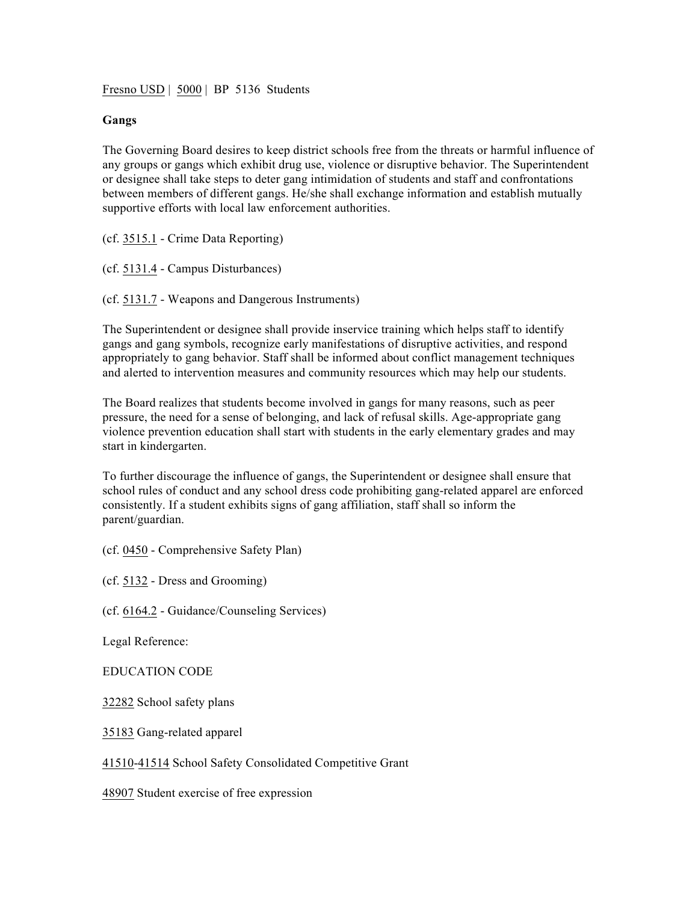Fresno USD | 5000 | BP 5136 Students

## **Gangs**

The Governing Board desires to keep district schools free from the threats or harmful influence of any groups or gangs which exhibit drug use, violence or disruptive behavior. The Superintendent or designee shall take steps to deter gang intimidation of students and staff and confrontations between members of different gangs. He/she shall exchange information and establish mutually supportive efforts with local law enforcement authorities.

(cf. 3515.1 - Crime Data Reporting)

(cf. 5131.4 - Campus Disturbances)

(cf. 5131.7 - Weapons and Dangerous Instruments)

The Superintendent or designee shall provide inservice training which helps staff to identify gangs and gang symbols, recognize early manifestations of disruptive activities, and respond appropriately to gang behavior. Staff shall be informed about conflict management techniques and alerted to intervention measures and community resources which may help our students.

The Board realizes that students become involved in gangs for many reasons, such as peer pressure, the need for a sense of belonging, and lack of refusal skills. Age-appropriate gang violence prevention education shall start with students in the early elementary grades and may start in kindergarten.

To further discourage the influence of gangs, the Superintendent or designee shall ensure that school rules of conduct and any school dress code prohibiting gang-related apparel are enforced consistently. If a student exhibits signs of gang affiliation, staff shall so inform the parent/guardian.

(cf. 0450 - Comprehensive Safety Plan)

(cf. 5132 - Dress and Grooming)

(cf. 6164.2 - Guidance/Counseling Services)

Legal Reference:

EDUCATION CODE

32282 School safety plans

35183 Gang-related apparel

41510-41514 School Safety Consolidated Competitive Grant

48907 Student exercise of free expression